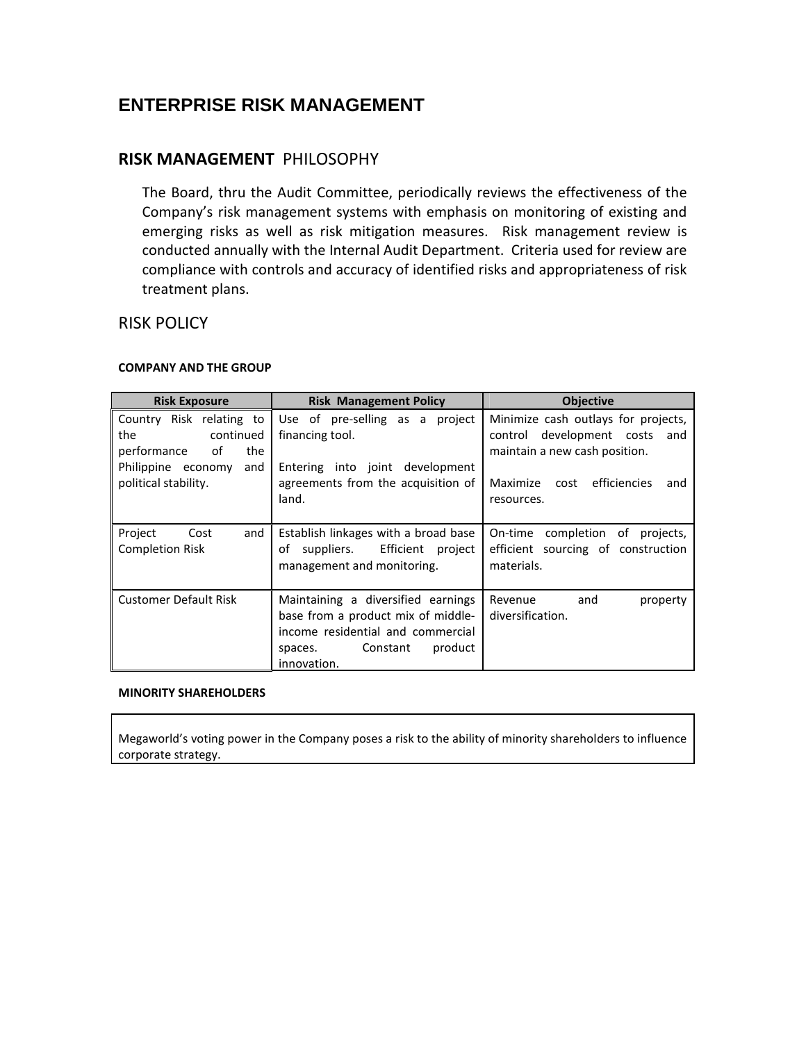# **ENTERPRISE RISK MANAGEMENT**

## RISK MANAGEMENT PHILOSOPHY

The Board, thru the Audit Committee, periodically reviews the effectiveness of the Company's risk management systems with emphasis on monitoring of existing and emerging risks as well as risk mitigation measures. Risk management review is conducted annually with the Internal Audit Department. Criteria used for review are compliance with controls and accuracy of identified risks and appropriateness of risk treatment plans.

### RISK POLICY

#### COMPANY AND THE GROUP

| <b>Risk Exposure</b>                                                                                                          | <b>Risk Management Policy</b>                                                                                                                                  | <b>Objective</b>                                                                                                                                               |
|-------------------------------------------------------------------------------------------------------------------------------|----------------------------------------------------------------------------------------------------------------------------------------------------------------|----------------------------------------------------------------------------------------------------------------------------------------------------------------|
| Country Risk relating to<br>the<br>continued<br>of<br>performance<br>the<br>Philippine economy<br>and<br>political stability. | Use of pre-selling as a<br>project<br>financing tool.<br>Entering into joint development<br>agreements from the acquisition of<br>land.                        | Minimize cash outlays for projects,<br>control development costs and<br>maintain a new cash position.<br>efficiencies<br>Maximize<br>cost<br>and<br>resources. |
| Project<br>and<br>Cost<br><b>Completion Risk</b>                                                                              | Establish linkages with a broad base<br>suppliers. Efficient<br>of<br>project<br>management and monitoring.                                                    | On-time completion of<br>projects,<br>efficient sourcing of construction<br>materials.                                                                         |
| <b>Customer Default Risk</b>                                                                                                  | Maintaining a diversified earnings<br>base from a product mix of middle-<br>income residential and commercial<br>product<br>Constant<br>spaces.<br>innovation. | Revenue<br>and<br>property<br>diversification.                                                                                                                 |

#### MINORITY SHAREHOLDERS

Megaworld's voting power in the Company poses a risk to the ability of minority shareholders to influence corporate strategy.